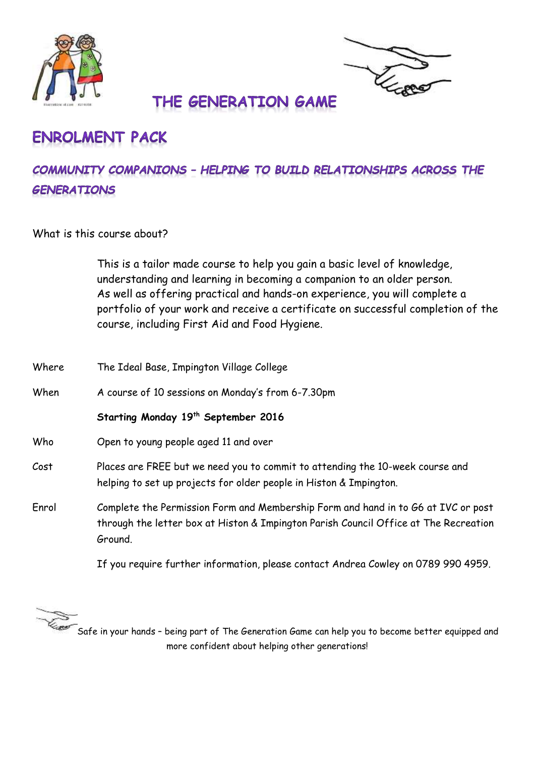



## THE GENERATION GAME

# **ENROLMENT PACK**

### COMMUNITY COMPANIONS - HELPING TO BUILD RELATIONSHIPS ACROSS THE **GENERATIONS**

What is this course about?

This is a tailor made course to help you gain a basic level of knowledge, understanding and learning in becoming a companion to an older person. As well as offering practical and hands-on experience, you will complete a portfolio of your work and receive a certificate on successful completion of the course, including First Aid and Food Hygiene.

Where The Ideal Base, Impington Village College When A course of 10 sessions on Monday's from 6-7.30pm **Starting Monday 19th September 2016**  Who Open to young people aged 11 and over Cost Places are FREE but we need you to commit to attending the 10-week course and helping to set up projects for older people in Histon & Impington. Enrol Complete the Permission Form and Membership Form and hand in to G6 at IVC or post through the letter box at Histon & Impington Parish Council Office at The Recreation Ground.

If you require further information, please contact Andrea Cowley on 0789 990 4959.



Safe in your hands – being part of The Generation Game can help you to become better equipped and more confident about helping other generations!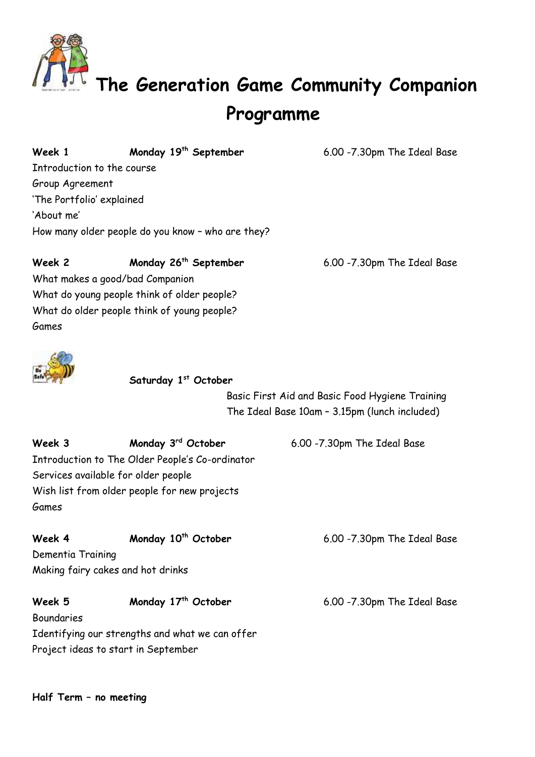

**The Generation Game Community Companion**

## **Programme**

**Week 1 Monday 19th September** 6.00 -7.30pm The Ideal Base Introduction to the course Group Agreement 'The Portfolio' explained 'About me' How many older people do you know – who are they?

**Week 2 Monday 26th September** 6.00 -7.30pm The Ideal Base What makes a good/bad Companion What do young people think of older people? What do older people think of young people? Games

#### **Saturday 1st October**

Basic First Aid and Basic Food Hygiene Training The Ideal Base 10am – 3.15pm (lunch included)

**rd October** 6.00 -7.30pm The Ideal Base

**Week 3 Monday 3** Introduction to The Older People's Co-ordinator Services available for older people Wish list from older people for new projects Games

**Week 4 Monday 10th October** 6.00 -7.30pm The Ideal Base Dementia Training Making fairy cakes and hot drinks

**Week 5 Monday 17th October** 6.00 -7.30pm The Ideal Base Boundaries Identifying our strengths and what we can offer Project ideas to start in September

**Half Term – no meeting**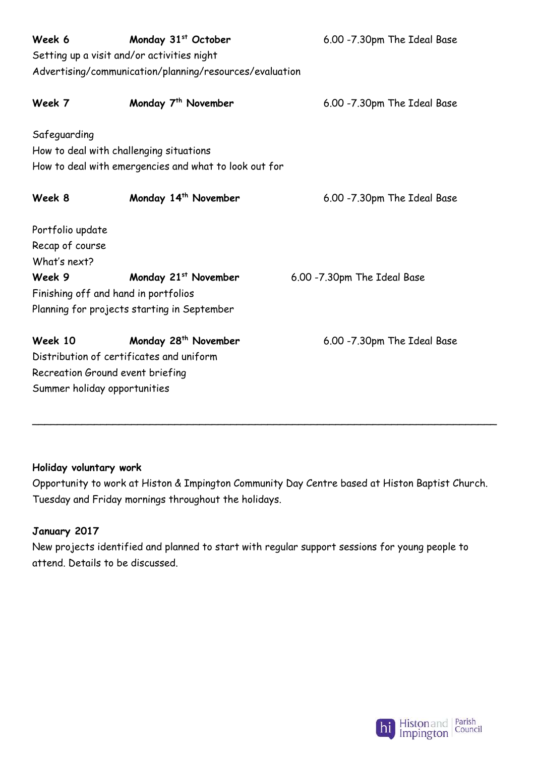| Week 6<br>Setting up a visit and/or activities night  | Monday 31 <sup>st</sup> October<br>Advertising/communication/planning/resources/evaluation | 6.00 -7.30pm The Ideal Base |  |  |  |  |  |
|-------------------------------------------------------|--------------------------------------------------------------------------------------------|-----------------------------|--|--|--|--|--|
| Week 7                                                | Monday 7 <sup>th</sup> November                                                            | 6.00 -7.30pm The Ideal Base |  |  |  |  |  |
| Safeguarding                                          |                                                                                            |                             |  |  |  |  |  |
| How to deal with challenging situations               |                                                                                            |                             |  |  |  |  |  |
| How to deal with emergencies and what to look out for |                                                                                            |                             |  |  |  |  |  |
|                                                       |                                                                                            |                             |  |  |  |  |  |
| Week 8                                                | Monday 14 <sup>th</sup> November                                                           | 6.00 -7.30pm The Ideal Base |  |  |  |  |  |
|                                                       |                                                                                            |                             |  |  |  |  |  |
| Portfolio update                                      |                                                                                            |                             |  |  |  |  |  |
| Recap of course                                       |                                                                                            |                             |  |  |  |  |  |
| What's next?                                          |                                                                                            |                             |  |  |  |  |  |
| Week 9                                                | Monday 21 <sup>st</sup> November                                                           | 6.00 -7.30pm The Ideal Base |  |  |  |  |  |
| Finishing off and hand in portfolios                  |                                                                                            |                             |  |  |  |  |  |
| Planning for projects starting in September           |                                                                                            |                             |  |  |  |  |  |
|                                                       |                                                                                            |                             |  |  |  |  |  |
| Week 10                                               | Monday 28 <sup>th</sup> November                                                           | 6.00 -7.30pm The Ideal Base |  |  |  |  |  |
| Distribution of certificates and uniform              |                                                                                            |                             |  |  |  |  |  |
| Recreation Ground event briefing                      |                                                                                            |                             |  |  |  |  |  |
| Summer holiday opportunities                          |                                                                                            |                             |  |  |  |  |  |

#### **Holiday voluntary work**

Opportunity to work at Histon & Impington Community Day Centre based at Histon Baptist Church. Tuesday and Friday mornings throughout the holidays.

\_\_\_\_\_\_\_\_\_\_\_\_\_\_\_\_\_\_\_\_\_\_\_\_\_\_\_\_\_\_\_\_\_\_\_\_\_\_\_\_\_\_\_\_\_\_\_\_\_\_\_\_\_\_\_\_\_\_\_\_\_\_\_\_\_\_\_\_\_\_\_\_\_\_\_

### **January 2017**

New projects identified and planned to start with regular support sessions for young people to attend. Details to be discussed.

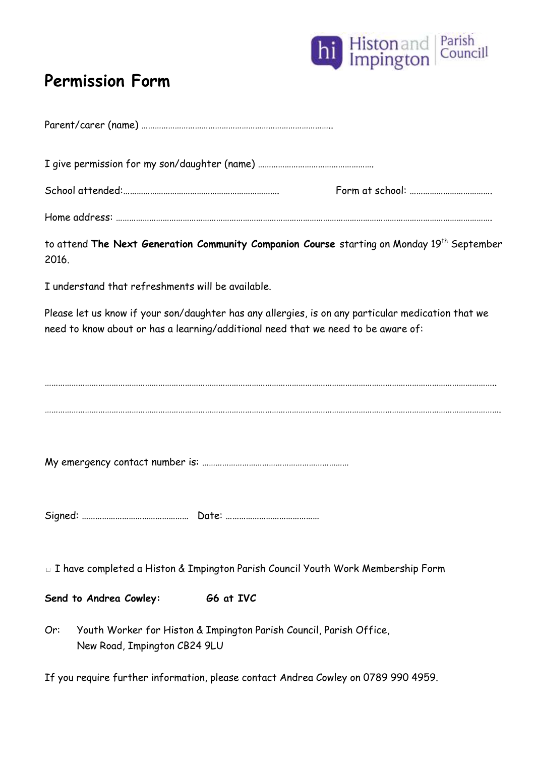

## **Permission Form**

Parent/carer (name) …………………………………………………………………………..

I give permission for my son/daughter (name) …………………………………………….

School attended:……………………………………………………………. Form at school: ……………………………….

Home address: …………………………………………………………………………………………………………………………………………………….

to attend **The Next Generation Community Companion Course** starting on Monday 19th September 2016.

I understand that refreshments will be available.

Please let us know if your son/daughter has any allergies, is on any particular medication that we need to know about or has a learning/additional need that we need to be aware of:

…………………………………………………………………………………………………………………………………………………………………………………..

My emergency contact number is: …………………………………………………………

Signed: ………………………………………… Date: ……………………………………

□ I have completed a Histon & Impington Parish Council Youth Work Membership Form

Send to Andrea Cowley: **G6** at IVC

Or: Youth Worker for Histon & Impington Parish Council, Parish Office, New Road, Impington CB24 9LU

If you require further information, please contact Andrea Cowley on 0789 990 4959.